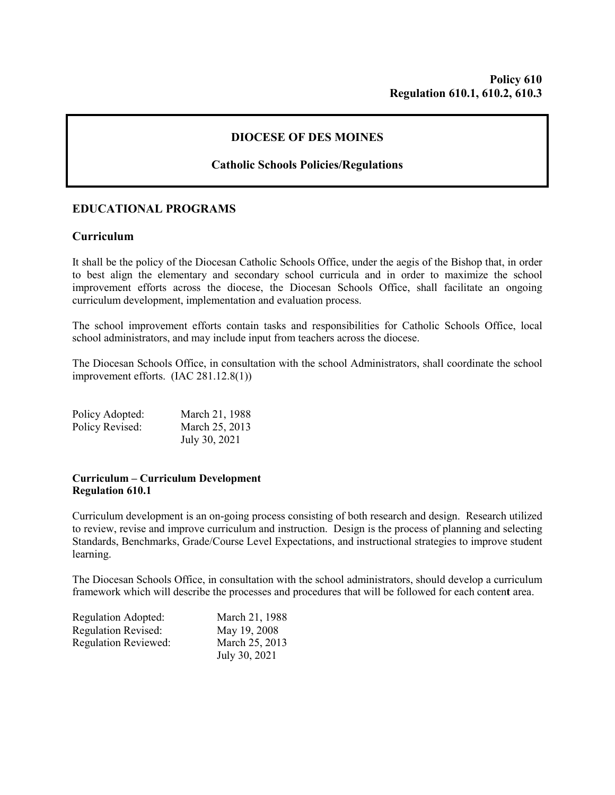### **DIOCESE OF DES MOINES**

# **Catholic Schools Policies/Regulations**

# **EDUCATIONAL PROGRAMS**

### **Curriculum**

It shall be the policy of the Diocesan Catholic Schools Office, under the aegis of the Bishop that, in order to best align the elementary and secondary school curricula and in order to maximize the school improvement efforts across the diocese, the Diocesan Schools Office, shall facilitate an ongoing curriculum development, implementation and evaluation process.

The school improvement efforts contain tasks and responsibilities for Catholic Schools Office, local school administrators, and may include input from teachers across the diocese.

The Diocesan Schools Office, in consultation with the school Administrators, shall coordinate the school improvement efforts. (IAC 281.12.8(1))

| Policy Adopted: | March 21, 1988 |
|-----------------|----------------|
| Policy Revised: | March 25, 2013 |
|                 | July 30, 2021  |

#### **Curriculum – Curriculum Development Regulation 610.1**

Curriculum development is an on-going process consisting of both research and design. Research utilized to review, revise and improve curriculum and instruction. Design is the process of planning and selecting Standards, Benchmarks, Grade/Course Level Expectations, and instructional strategies to improve student learning.

The Diocesan Schools Office, in consultation with the school administrators, should develop a curriculum framework which will describe the processes and procedures that will be followed for each conten**t** area.

| Regulation Adopted:         | March 21, 1988 |
|-----------------------------|----------------|
| <b>Regulation Revised:</b>  | May 19, 2008   |
| <b>Regulation Reviewed:</b> | March 25, 2013 |
|                             | July 30, 2021  |